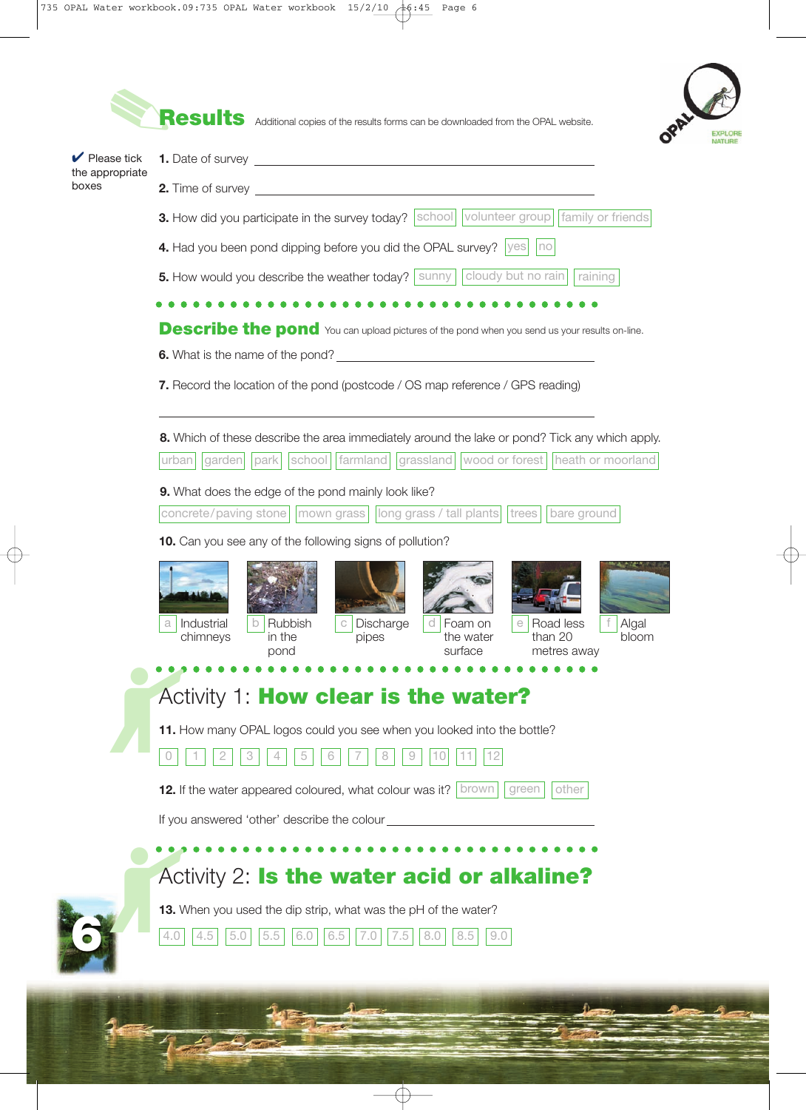

Æ

**Results** Additional copies of the results forms can be downloaded from the OPAL website.



| $\blacktriangleright$ Please tick<br>the appropriate | 1. Date of survey <u>experience</u> and the set of survey and the set of survey and the set of survey and the set of survey and the set of survey and the set of survey and the set of survey and the set of survey and the set of   |  |  |  |  |  |
|------------------------------------------------------|--------------------------------------------------------------------------------------------------------------------------------------------------------------------------------------------------------------------------------------|--|--|--|--|--|
| boxes                                                | 2. Time of survey <u>example and the set of the set of the set of the set of the set of the set of the set of the set of the set of the set of the set of the set of the set of the set of the set of the set of the set of the </u> |  |  |  |  |  |
|                                                      | 3. How did you participate in the survey today?   school   volunteer group   family or friends                                                                                                                                       |  |  |  |  |  |
|                                                      | 4. Had you been pond dipping before you did the OPAL survey?   yes     no                                                                                                                                                            |  |  |  |  |  |
|                                                      | 5. How would you describe the weather today?   sunny     cloudy but no rain<br>raining                                                                                                                                               |  |  |  |  |  |
|                                                      |                                                                                                                                                                                                                                      |  |  |  |  |  |
|                                                      | <b>Describe the pond</b> You can upload pictures of the pond when you send us your results on-line.                                                                                                                                  |  |  |  |  |  |
|                                                      |                                                                                                                                                                                                                                      |  |  |  |  |  |
|                                                      | 7. Record the location of the pond (postcode / OS map reference / GPS reading)                                                                                                                                                       |  |  |  |  |  |
|                                                      | 8. Which of these describe the area immediately around the lake or pond? Tick any which apply.<br>grassland   wood or forest   heath or moorland<br>farmland<br>garden<br>park<br>school<br>urban                                    |  |  |  |  |  |
|                                                      | 9. What does the edge of the pond mainly look like?                                                                                                                                                                                  |  |  |  |  |  |
|                                                      | concrete/paving stone     mown grass     long grass / tall plants   trees     bare ground                                                                                                                                            |  |  |  |  |  |
|                                                      | 10. Can you see any of the following signs of pollution?                                                                                                                                                                             |  |  |  |  |  |
|                                                      |                                                                                                                                                                                                                                      |  |  |  |  |  |
|                                                      | Discharge<br>Industrial<br>Rubbish<br>Foam on<br>Road less<br>Algal<br>d<br>С<br>than 20<br>chimneys<br>in the<br>the water<br>bloom<br>pipes<br>surface<br>pond<br>metres away                                                      |  |  |  |  |  |
|                                                      |                                                                                                                                                                                                                                      |  |  |  |  |  |
|                                                      | Activity 1: How clear is the water?                                                                                                                                                                                                  |  |  |  |  |  |
|                                                      | 11. How many OPAL logos could you see when you looked into the bottle?<br>4<br>5<br>8<br>9                                                                                                                                           |  |  |  |  |  |
|                                                      | 12. If the water appeared coloured, what colour was it?   brown  <br>other<br>green                                                                                                                                                  |  |  |  |  |  |
|                                                      | If you answered 'other' describe the colour                                                                                                                                                                                          |  |  |  |  |  |
|                                                      |                                                                                                                                                                                                                                      |  |  |  |  |  |
|                                                      | Activity 2: Is the water acid or alkaline?                                                                                                                                                                                           |  |  |  |  |  |
|                                                      | 13. When you used the dip strip, what was the pH of the water?                                                                                                                                                                       |  |  |  |  |  |
|                                                      | 4.0<br>4.5<br>5.0<br>5.5<br>6.0<br>6.5<br>7.5<br>8.0<br>8.5<br>9.0<br>7.0                                                                                                                                                            |  |  |  |  |  |